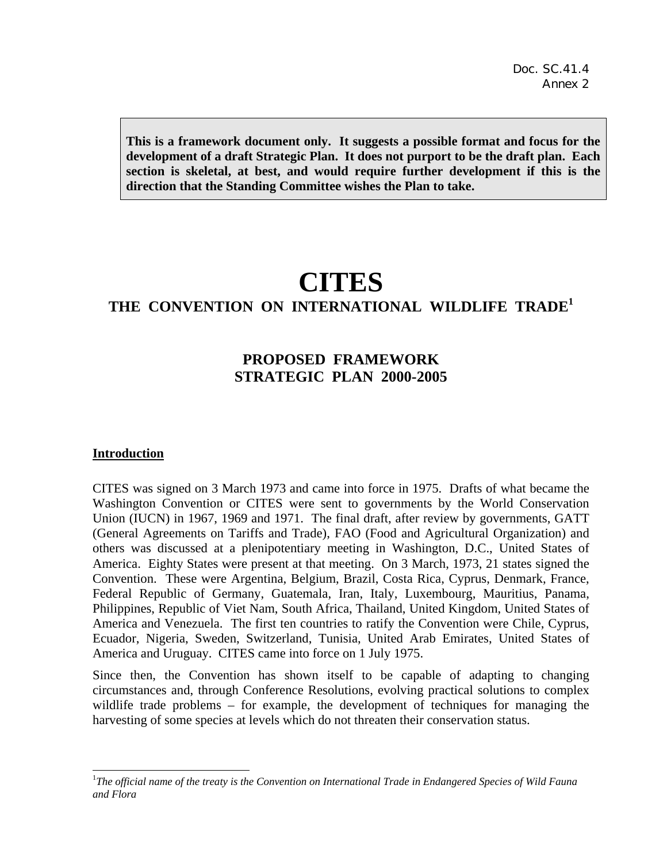**This is a framework document only. It suggests a possible format and focus for the development of a draft Strategic Plan. It does not purport to be the draft plan. Each section is skeletal, at best, and would require further development if this is the direction that the Standing Committee wishes the Plan to take.** 

# **CITES**

# **THE CONVENTION ON INTERNATIONAL WILDLIFE TRADE<sup>1</sup>**

## **PROPOSED FRAMEWORK STRATEGIC PLAN 2000-2005**

#### **Introduction**

-

CITES was signed on 3 March 1973 and came into force in 1975. Drafts of what became the Washington Convention or CITES were sent to governments by the World Conservation Union (IUCN) in 1967, 1969 and 1971. The final draft, after review by governments, GATT (General Agreements on Tariffs and Trade), FAO (Food and Agricultural Organization) and others was discussed at a plenipotentiary meeting in Washington, D.C., United States of America. Eighty States were present at that meeting. On 3 March, 1973, 21 states signed the Convention. These were Argentina, Belgium, Brazil, Costa Rica, Cyprus, Denmark, France, Federal Republic of Germany, Guatemala, Iran, Italy, Luxembourg, Mauritius, Panama, Philippines, Republic of Viet Nam, South Africa, Thailand, United Kingdom, United States of America and Venezuela. The first ten countries to ratify the Convention were Chile, Cyprus, Ecuador, Nigeria, Sweden, Switzerland, Tunisia, United Arab Emirates, United States of America and Uruguay. CITES came into force on 1 July 1975.

Since then, the Convention has shown itself to be capable of adapting to changing circumstances and, through Conference Resolutions, evolving practical solutions to complex wildlife trade problems – for example, the development of techniques for managing the harvesting of some species at levels which do not threaten their conservation status.

<sup>&</sup>lt;sup>1</sup>The official name of the treaty is the Convention on International Trade in Endangered Species of Wild Fauna *and Flora*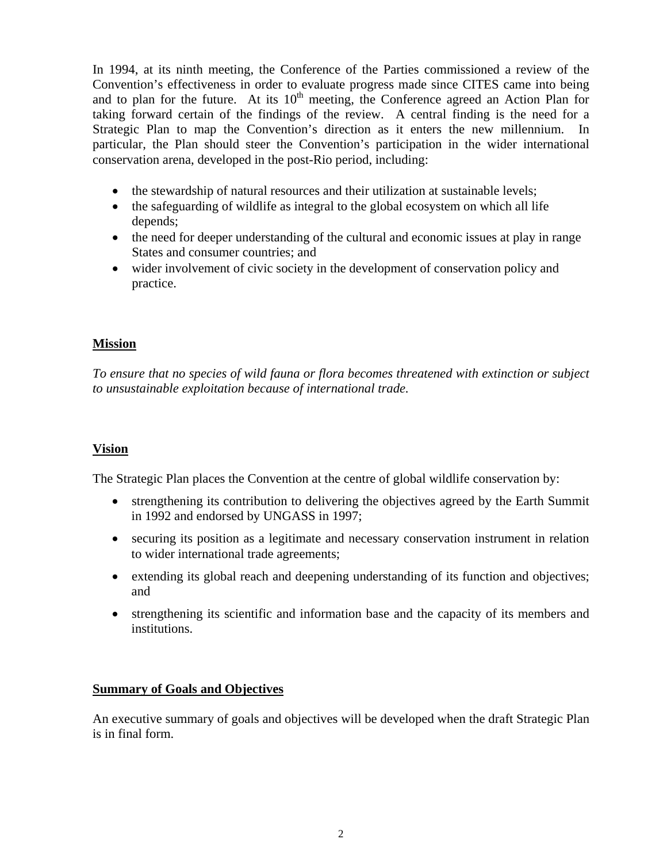In 1994, at its ninth meeting, the Conference of the Parties commissioned a review of the Convention's effectiveness in order to evaluate progress made since CITES came into being and to plan for the future. At its  $10<sup>th</sup>$  meeting, the Conference agreed an Action Plan for taking forward certain of the findings of the review. A central finding is the need for a Strategic Plan to map the Convention's direction as it enters the new millennium. In particular, the Plan should steer the Convention's participation in the wider international conservation arena, developed in the post-Rio period, including:

- the stewardship of natural resources and their utilization at sustainable levels;
- the safeguarding of wildlife as integral to the global ecosystem on which all life depends;
- the need for deeper understanding of the cultural and economic issues at play in range States and consumer countries; and
- wider involvement of civic society in the development of conservation policy and practice.

## **Mission**

*To ensure that no species of wild fauna or flora becomes threatened with extinction or subject to unsustainable exploitation because of international trade.* 

## **Vision**

The Strategic Plan places the Convention at the centre of global wildlife conservation by:

- strengthening its contribution to delivering the objectives agreed by the Earth Summit in 1992 and endorsed by UNGASS in 1997;
- securing its position as a legitimate and necessary conservation instrument in relation to wider international trade agreements;
- extending its global reach and deepening understanding of its function and objectives; and
- strengthening its scientific and information base and the capacity of its members and institutions.

## **Summary of Goals and Objectives**

An executive summary of goals and objectives will be developed when the draft Strategic Plan is in final form.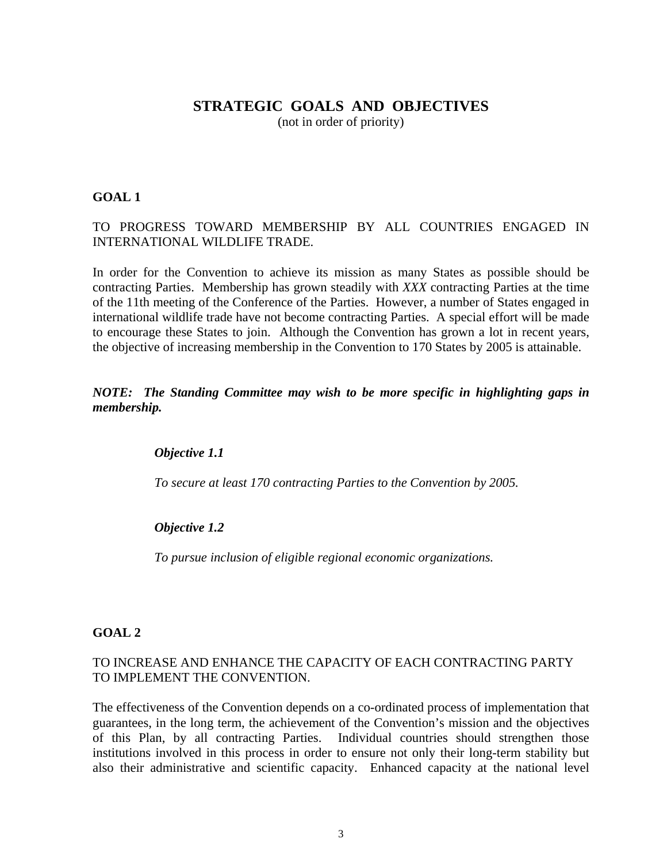## **STRATEGIC GOALS AND OBJECTIVES**

(not in order of priority)

## **GOAL 1**

## TO PROGRESS TOWARD MEMBERSHIP BY ALL COUNTRIES ENGAGED IN INTERNATIONAL WILDLIFE TRADE.

In order for the Convention to achieve its mission as many States as possible should be contracting Parties. Membership has grown steadily with *XXX* contracting Parties at the time of the 11th meeting of the Conference of the Parties. However, a number of States engaged in international wildlife trade have not become contracting Parties. A special effort will be made to encourage these States to join. Although the Convention has grown a lot in recent years, the objective of increasing membership in the Convention to 170 States by 2005 is attainable.

## *NOTE: The Standing Committee may wish to be more specific in highlighting gaps in membership.*

#### *Objective 1.1*

 *To secure at least 170 contracting Parties to the Convention by 2005.*

#### *Objective 1.2*

*To pursue inclusion of eligible regional economic organizations.* 

#### **GOAL 2**

#### TO INCREASE AND ENHANCE THE CAPACITY OF EACH CONTRACTING PARTY TO IMPLEMENT THE CONVENTION.

The effectiveness of the Convention depends on a co-ordinated process of implementation that guarantees, in the long term, the achievement of the Convention's mission and the objectives of this Plan, by all contracting Parties. Individual countries should strengthen those institutions involved in this process in order to ensure not only their long-term stability but also their administrative and scientific capacity. Enhanced capacity at the national level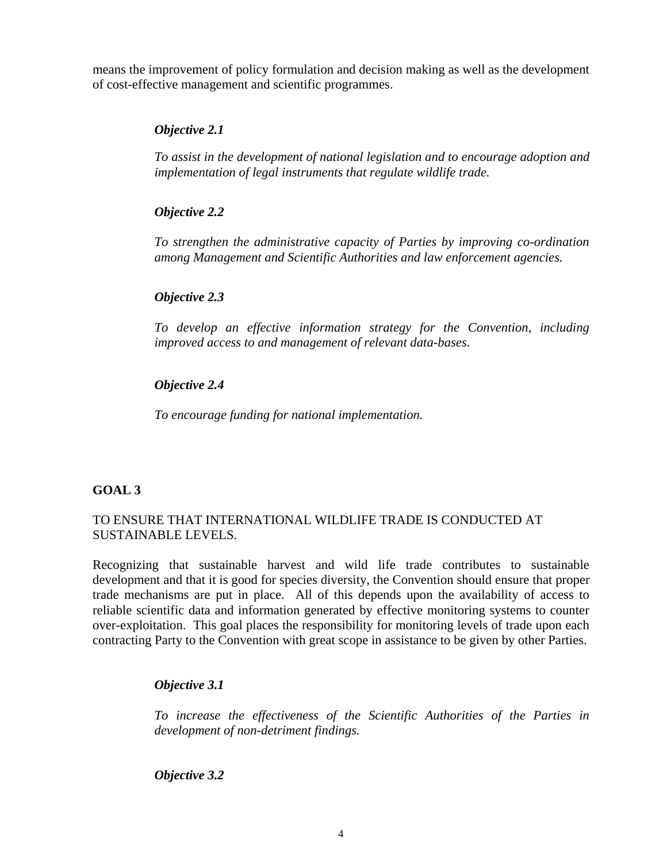means the improvement of policy formulation and decision making as well as the development of cost-effective management and scientific programmes.

## *Objective 2.1*

*To assist in the development of national legislation and to encourage adoption and implementation of legal instruments that regulate wildlife trade.* 

## *Objective 2.2*

*To strengthen the administrative capacity of Parties by improving co-ordination among Management and Scientific Authorities and law enforcement agencies.*

## *Objective 2.3*

*To develop an effective information strategy for the Convention, including improved access to and management of relevant data-bases.*

## *Objective 2.4*

*To encourage funding for national implementation.*

#### **GOAL 3**

## TO ENSURE THAT INTERNATIONAL WILDLIFE TRADE IS CONDUCTED AT SUSTAINABLE LEVELS.

Recognizing that sustainable harvest and wild life trade contributes to sustainable development and that it is good for species diversity, the Convention should ensure that proper trade mechanisms are put in place. All of this depends upon the availability of access to reliable scientific data and information generated by effective monitoring systems to counter over-exploitation. This goal places the responsibility for monitoring levels of trade upon each contracting Party to the Convention with great scope in assistance to be given by other Parties.

#### *Objective 3.1*

*To increase the effectiveness of the Scientific Authorities of the Parties in development of non-detriment findings.*

 *Objective 3.2*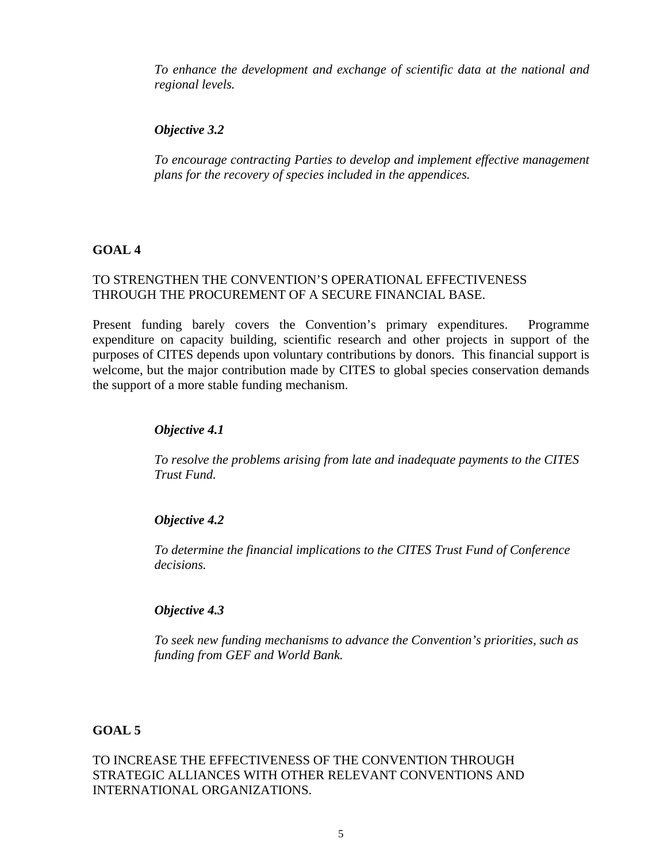*To enhance the development and exchange of scientific data at the national and regional levels.* 

## *Objective 3.2*

*To encourage contracting Parties to develop and implement effective management plans for the recovery of species included in the appendices.* 

## **GOAL 4**

## TO STRENGTHEN THE CONVENTION'S OPERATIONAL EFFECTIVENESS THROUGH THE PROCUREMENT OF A SECURE FINANCIAL BASE.

Present funding barely covers the Convention's primary expenditures. Programme expenditure on capacity building, scientific research and other projects in support of the purposes of CITES depends upon voluntary contributions by donors. This financial support is welcome, but the major contribution made by CITES to global species conservation demands the support of a more stable funding mechanism.

## *Objective 4.1*

*To resolve the problems arising from late and inadequate payments to the CITES Trust Fund.*

## *Objective 4.2*

*To determine the financial implications to the CITES Trust Fund of Conference decisions.* 

## *Objective 4.3*

*To seek new funding mechanisms to advance the Convention's priorities, such as funding from GEF and World Bank.*

## **GOAL 5**

TO INCREASE THE EFFECTIVENESS OF THE CONVENTION THROUGH STRATEGIC ALLIANCES WITH OTHER RELEVANT CONVENTIONS AND INTERNATIONAL ORGANIZATIONS.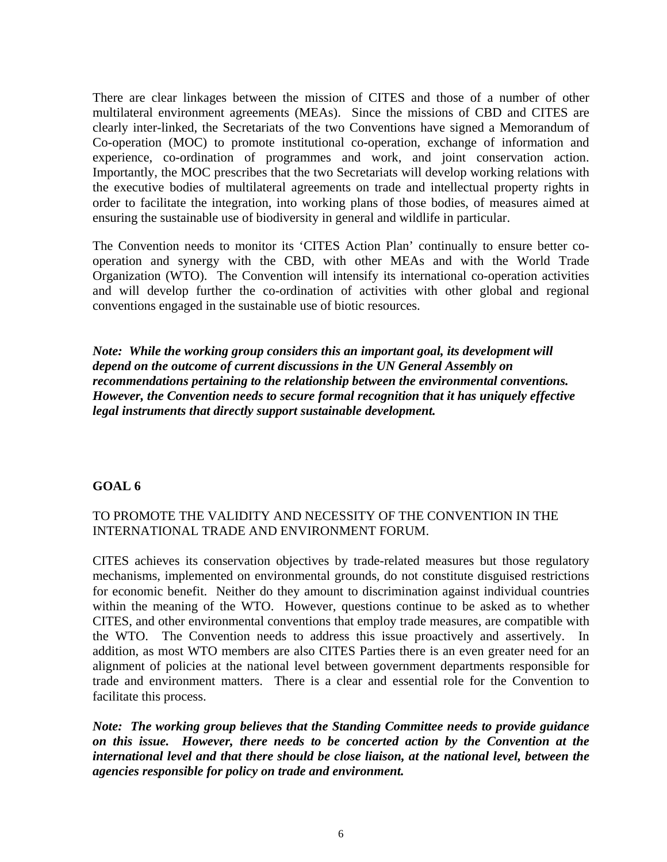There are clear linkages between the mission of CITES and those of a number of other multilateral environment agreements (MEAs). Since the missions of CBD and CITES are clearly inter-linked, the Secretariats of the two Conventions have signed a Memorandum of Co-operation (MOC) to promote institutional co-operation, exchange of information and experience, co-ordination of programmes and work, and joint conservation action. Importantly, the MOC prescribes that the two Secretariats will develop working relations with the executive bodies of multilateral agreements on trade and intellectual property rights in order to facilitate the integration, into working plans of those bodies, of measures aimed at ensuring the sustainable use of biodiversity in general and wildlife in particular.

The Convention needs to monitor its 'CITES Action Plan' continually to ensure better cooperation and synergy with the CBD, with other MEAs and with the World Trade Organization (WTO). The Convention will intensify its international co-operation activities and will develop further the co-ordination of activities with other global and regional conventions engaged in the sustainable use of biotic resources.

*Note: While the working group considers this an important goal, its development will depend on the outcome of current discussions in the UN General Assembly on recommendations pertaining to the relationship between the environmental conventions. However, the Convention needs to secure formal recognition that it has uniquely effective legal instruments that directly support sustainable development.* 

#### **GOAL 6**

## TO PROMOTE THE VALIDITY AND NECESSITY OF THE CONVENTION IN THE INTERNATIONAL TRADE AND ENVIRONMENT FORUM.

CITES achieves its conservation objectives by trade-related measures but those regulatory mechanisms, implemented on environmental grounds, do not constitute disguised restrictions for economic benefit. Neither do they amount to discrimination against individual countries within the meaning of the WTO. However, questions continue to be asked as to whether CITES, and other environmental conventions that employ trade measures, are compatible with the WTO. The Convention needs to address this issue proactively and assertively. In addition, as most WTO members are also CITES Parties there is an even greater need for an alignment of policies at the national level between government departments responsible for trade and environment matters. There is a clear and essential role for the Convention to facilitate this process.

*Note: The working group believes that the Standing Committee needs to provide guidance on this issue. However, there needs to be concerted action by the Convention at the international level and that there should be close liaison, at the national level, between the agencies responsible for policy on trade and environment.*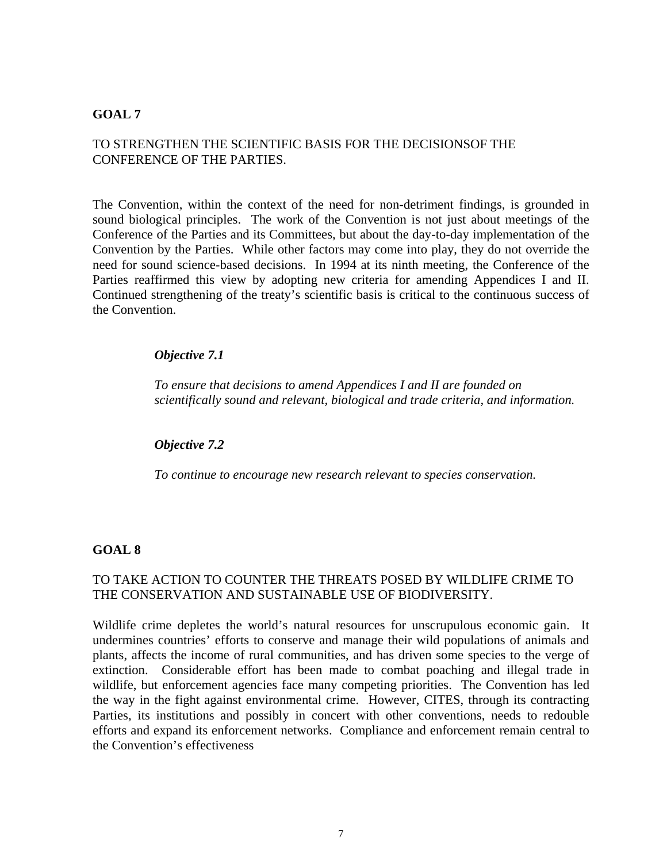#### **GOAL 7**

## TO STRENGTHEN THE SCIENTIFIC BASIS FOR THE DECISIONSOF THE CONFERENCE OF THE PARTIES.

The Convention, within the context of the need for non-detriment findings, is grounded in sound biological principles. The work of the Convention is not just about meetings of the Conference of the Parties and its Committees, but about the day-to-day implementation of the Convention by the Parties. While other factors may come into play, they do not override the need for sound science-based decisions. In 1994 at its ninth meeting, the Conference of the Parties reaffirmed this view by adopting new criteria for amending Appendices I and II. Continued strengthening of the treaty's scientific basis is critical to the continuous success of the Convention.

#### *Objective 7.1*

*To ensure that decisions to amend Appendices I and II are founded on scientifically sound and relevant, biological and trade criteria, and information.* 

#### *Objective 7.2*

*To continue to encourage new research relevant to species conservation.* 

#### **GOAL 8**

#### TO TAKE ACTION TO COUNTER THE THREATS POSED BY WILDLIFE CRIME TO THE CONSERVATION AND SUSTAINABLE USE OF BIODIVERSITY.

Wildlife crime depletes the world's natural resources for unscrupulous economic gain. It undermines countries' efforts to conserve and manage their wild populations of animals and plants, affects the income of rural communities, and has driven some species to the verge of extinction. Considerable effort has been made to combat poaching and illegal trade in wildlife, but enforcement agencies face many competing priorities. The Convention has led the way in the fight against environmental crime. However, CITES, through its contracting Parties, its institutions and possibly in concert with other conventions, needs to redouble efforts and expand its enforcement networks. Compliance and enforcement remain central to the Convention's effectiveness